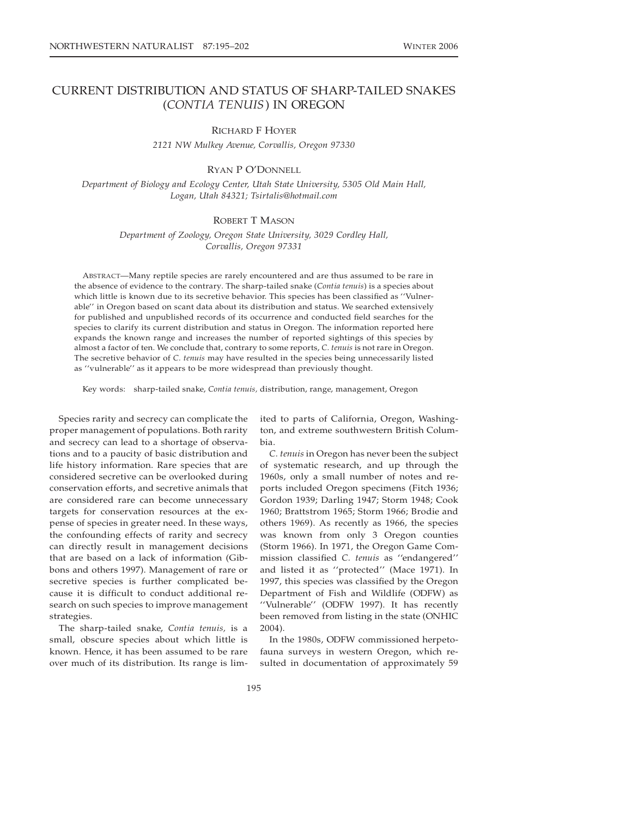# CURRENT DISTRIBUTION AND STATUS OF SHARP-TAILED SNAKES (*CONTIA TENUIS*) IN OREGON

## RICHARD F HOYER

*2121 NW Mulkey Avenue, Corvallis, Oregon 97330*

# RYAN P O'DONNELL

*Department of Biology and Ecology Center, Utah State University, 5305 Old Main Hall, Logan, Utah 84321; Tsirtalis@hotmail.com*

## ROBERT T MASON

*Department of Zoology, Oregon State University, 3029 Cordley Hall, Corvallis, Oregon 97331*

ABSTRACT—Many reptile species are rarely encountered and are thus assumed to be rare in the absence of evidence to the contrary. The sharp-tailed snake (*Contia tenuis*) is a species about which little is known due to its secretive behavior. This species has been classified as ''Vulnerable'' in Oregon based on scant data about its distribution and status. We searched extensively for published and unpublished records of its occurrence and conducted field searches for the species to clarify its current distribution and status in Oregon. The information reported here expands the known range and increases the number of reported sightings of this species by almost a factor of ten. We conclude that, contrary to some reports, *C. tenuis* is not rare in Oregon. The secretive behavior of *C. tenuis* may have resulted in the species being unnecessarily listed as ''vulnerable'' as it appears to be more widespread than previously thought.

Key words: sharp-tailed snake, *Contia tenuis,* distribution, range, management, Oregon

Species rarity and secrecy can complicate the proper management of populations. Both rarity and secrecy can lead to a shortage of observations and to a paucity of basic distribution and life history information. Rare species that are considered secretive can be overlooked during conservation efforts, and secretive animals that are considered rare can become unnecessary targets for conservation resources at the expense of species in greater need. In these ways, the confounding effects of rarity and secrecy can directly result in management decisions that are based on a lack of information (Gibbons and others 1997). Management of rare or secretive species is further complicated because it is difficult to conduct additional research on such species to improve management strategies.

The sharp-tailed snake, *Contia tenuis,* is a small, obscure species about which little is known. Hence, it has been assumed to be rare over much of its distribution. Its range is lim-

ited to parts of California, Oregon, Washington, and extreme southwestern British Columbia.

*C. tenuis* in Oregon has never been the subject of systematic research, and up through the 1960s, only a small number of notes and reports included Oregon specimens (Fitch 1936; Gordon 1939; Darling 1947; Storm 1948; Cook 1960; Brattstrom 1965; Storm 1966; Brodie and others 1969). As recently as 1966, the species was known from only 3 Oregon counties (Storm 1966). In 1971, the Oregon Game Commission classified *C. tenuis* as ''endangered'' and listed it as ''protected'' (Mace 1971). In 1997, this species was classified by the Oregon Department of Fish and Wildlife (ODFW) as ''Vulnerable'' (ODFW 1997). It has recently been removed from listing in the state (ONHIC 2004).

In the 1980s, ODFW commissioned herpetofauna surveys in western Oregon, which resulted in documentation of approximately 59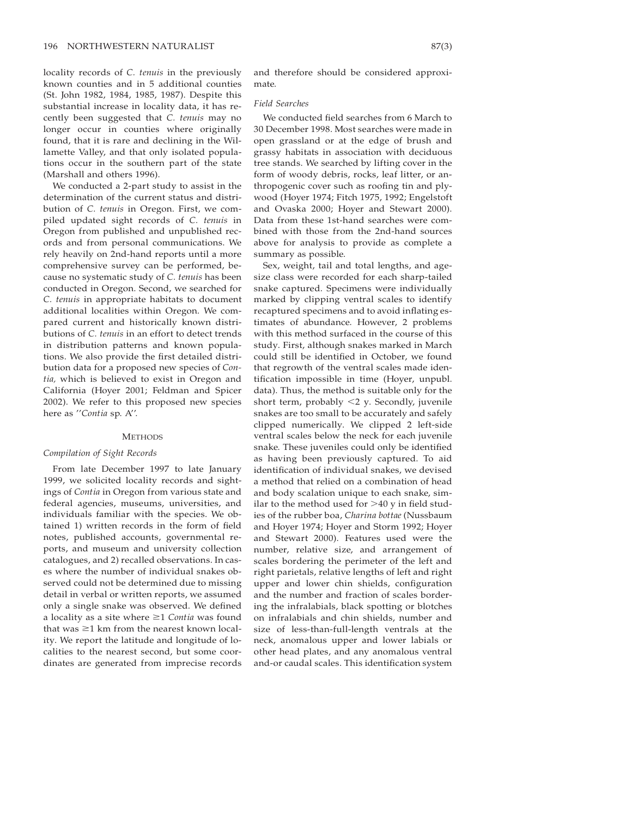locality records of *C. tenuis* in the previously known counties and in 5 additional counties (St. John 1982, 1984, 1985, 1987). Despite this substantial increase in locality data, it has recently been suggested that *C. tenuis* may no longer occur in counties where originally found, that it is rare and declining in the Willamette Valley, and that only isolated populations occur in the southern part of the state (Marshall and others 1996).

We conducted a 2-part study to assist in the determination of the current status and distribution of *C. tenuis* in Oregon. First, we compiled updated sight records of *C. tenuis* in Oregon from published and unpublished records and from personal communications. We rely heavily on 2nd-hand reports until a more comprehensive survey can be performed, because no systematic study of *C. tenuis* has been conducted in Oregon. Second, we searched for *C. tenuis* in appropriate habitats to document additional localities within Oregon. We compared current and historically known distributions of *C. tenuis* in an effort to detect trends in distribution patterns and known populations. We also provide the first detailed distribution data for a proposed new species of *Contia,* which is believed to exist in Oregon and California (Hoyer 2001; Feldman and Spicer 2002). We refer to this proposed new species here as ''*Contia* sp. A''.

#### **METHODS**

## *Compilation of Sight Records*

From late December 1997 to late January 1999, we solicited locality records and sightings of *Contia* in Oregon from various state and federal agencies, museums, universities, and individuals familiar with the species. We obtained 1) written records in the form of field notes, published accounts, governmental reports, and museum and university collection catalogues, and 2) recalled observations. In cases where the number of individual snakes observed could not be determined due to missing detail in verbal or written reports, we assumed only a single snake was observed. We defined a locality as a site where  $\geq 1$  *Contia* was found that was  $\geq 1$  km from the nearest known locality. We report the latitude and longitude of localities to the nearest second, but some coordinates are generated from imprecise records

and therefore should be considered approximate.

#### *Field Searches*

We conducted field searches from 6 March to 30 December 1998. Most searches were made in open grassland or at the edge of brush and grassy habitats in association with deciduous tree stands. We searched by lifting cover in the form of woody debris, rocks, leaf litter, or anthropogenic cover such as roofing tin and plywood (Hoyer 1974; Fitch 1975, 1992; Engelstoft and Ovaska 2000; Hoyer and Stewart 2000). Data from these 1st-hand searches were combined with those from the 2nd-hand sources above for analysis to provide as complete a summary as possible.

Sex, weight, tail and total lengths, and agesize class were recorded for each sharp-tailed snake captured. Specimens were individually marked by clipping ventral scales to identify recaptured specimens and to avoid inflating estimates of abundance. However, 2 problems with this method surfaced in the course of this study. First, although snakes marked in March could still be identified in October, we found that regrowth of the ventral scales made identification impossible in time (Hoyer, unpubl. data). Thus, the method is suitable only for the short term, probably  $\leq$ 2 y. Secondly, juvenile snakes are too small to be accurately and safely clipped numerically. We clipped 2 left-side ventral scales below the neck for each juvenile snake. These juveniles could only be identified as having been previously captured. To aid identification of individual snakes, we devised a method that relied on a combination of head and body scalation unique to each snake, similar to the method used for  $>$ 40 y in field studies of the rubber boa, *Charina bottae* (Nussbaum and Hoyer 1974; Hoyer and Storm 1992; Hoyer and Stewart 2000). Features used were the number, relative size, and arrangement of scales bordering the perimeter of the left and right parietals, relative lengths of left and right upper and lower chin shields, configuration and the number and fraction of scales bordering the infralabials, black spotting or blotches on infralabials and chin shields, number and size of less-than-full-length ventrals at the neck, anomalous upper and lower labials or other head plates, and any anomalous ventral and-or caudal scales. This identification system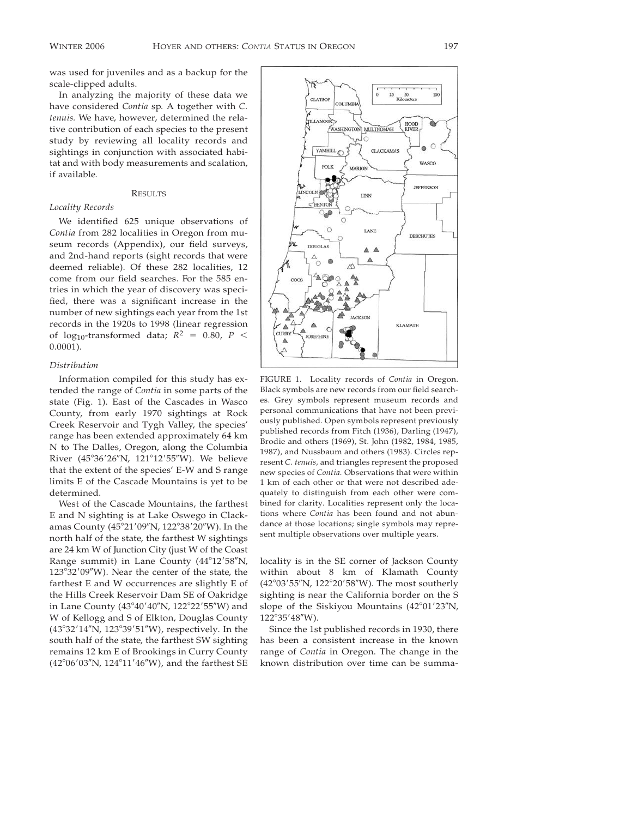was used for juveniles and as a backup for the scale-clipped adults.

In analyzing the majority of these data we have considered *Contia* sp. A together with *C. tenuis.* We have, however, determined the relative contribution of each species to the present study by reviewing all locality records and sightings in conjunction with associated habitat and with body measurements and scalation, if available.

## RESULTS

## *Locality Records*

We identified 625 unique observations of *Contia* from 282 localities in Oregon from museum records (Appendix), our field surveys, and 2nd-hand reports (sight records that were deemed reliable). Of these 282 localities, 12 come from our field searches. For the 585 entries in which the year of discovery was specified, there was a significant increase in the number of new sightings each year from the 1st records in the 1920s to 1998 (linear regression of log<sub>10</sub>-transformed data;  $R^2 = 0.80$ ,  $P <$ 0.0001).

#### *Distribution*

Information compiled for this study has extended the range of *Contia* in some parts of the state (Fig. 1). East of the Cascades in Wasco County, from early 1970 sightings at Rock Creek Reservoir and Tygh Valley, the species' range has been extended approximately 64 km N to The Dalles, Oregon, along the Columbia River (45°36'26"N, 121°12'55"W). We believe that the extent of the species' E-W and S range limits E of the Cascade Mountains is yet to be determined.

West of the Cascade Mountains, the farthest E and N sighting is at Lake Oswego in Clackamas County (45°21'09"N, 122°38'20"W). In the north half of the state, the farthest W sightings are 24 km W of Junction City (just W of the Coast Range summit) in Lane County (44°12'58"N, 123°32'09"W). Near the center of the state, the farthest E and W occurrences are slightly E of the Hills Creek Reservoir Dam SE of Oakridge in Lane County (43°40'40"N, 122°22'55"W) and W of Kellogg and S of Elkton, Douglas County (43°32'14"N, 123°39'51"W), respectively. In the south half of the state, the farthest SW sighting remains 12 km E of Brookings in Curry County (42°06'03"N, 124°11'46"W), and the farthest SE



FIGURE 1. Locality records of *Contia* in Oregon. Black symbols are new records from our field searches. Grey symbols represent museum records and personal communications that have not been previously published. Open symbols represent previously published records from Fitch (1936), Darling (1947), Brodie and others (1969), St. John (1982, 1984, 1985, 1987), and Nussbaum and others (1983). Circles represent *C. tenuis,* and triangles represent the proposed new species of *Contia.* Observations that were within 1 km of each other or that were not described adequately to distinguish from each other were combined for clarity. Localities represent only the locations where *Contia* has been found and not abundance at those locations; single symbols may represent multiple observations over multiple years.

locality is in the SE corner of Jackson County within about 8 km of Klamath County (42°03'55"N, 122°20'58"W). The most southerly sighting is near the California border on the S slope of the Siskiyou Mountains  $(42^{\circ}01'23''N,$ 122°35'48"W).

Since the 1st published records in 1930, there has been a consistent increase in the known range of *Contia* in Oregon. The change in the known distribution over time can be summa-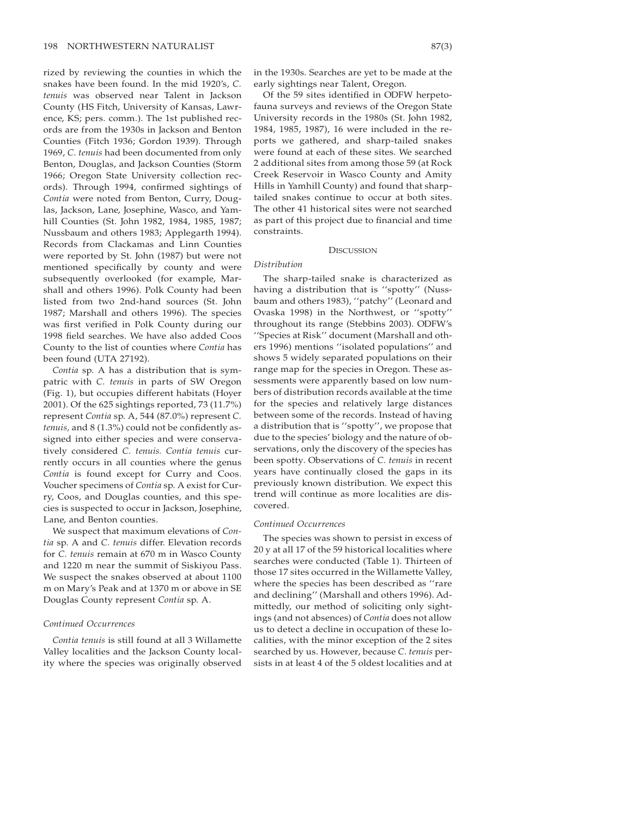rized by reviewing the counties in which the snakes have been found. In the mid 1920's, *C. tenuis* was observed near Talent in Jackson County (HS Fitch, University of Kansas, Lawrence, KS; pers. comm.). The 1st published records are from the 1930s in Jackson and Benton Counties (Fitch 1936; Gordon 1939). Through 1969, *C. tenuis* had been documented from only Benton, Douglas, and Jackson Counties (Storm 1966; Oregon State University collection records). Through 1994, confirmed sightings of *Contia* were noted from Benton, Curry, Douglas, Jackson, Lane, Josephine, Wasco, and Yamhill Counties (St. John 1982, 1984, 1985, 1987; Nussbaum and others 1983; Applegarth 1994). Records from Clackamas and Linn Counties were reported by St. John (1987) but were not mentioned specifically by county and were subsequently overlooked (for example, Marshall and others 1996). Polk County had been listed from two 2nd-hand sources (St. John 1987; Marshall and others 1996). The species was first verified in Polk County during our 1998 field searches. We have also added Coos County to the list of counties where *Contia* has been found (UTA 27192).

*Contia* sp. A has a distribution that is sympatric with *C. tenuis* in parts of SW Oregon (Fig. 1), but occupies different habitats (Hoyer 2001). Of the 625 sightings reported, 73 (11.7%) represent *Contia* sp. A, 544 (87.0%) represent *C. tenuis,* and 8 (1.3%) could not be confidently assigned into either species and were conservatively considered *C. tenuis. Contia tenuis* currently occurs in all counties where the genus *Contia* is found except for Curry and Coos. Voucher specimens of *Contia* sp. A exist for Curry, Coos, and Douglas counties, and this species is suspected to occur in Jackson, Josephine, Lane, and Benton counties.

We suspect that maximum elevations of *Contia* sp. A and *C. tenuis* differ. Elevation records for *C. tenuis* remain at 670 m in Wasco County and 1220 m near the summit of Siskiyou Pass. We suspect the snakes observed at about 1100 m on Mary's Peak and at 1370 m or above in SE Douglas County represent *Contia* sp. A.

#### *Continued Occurrences*

*Contia tenuis* is still found at all 3 Willamette Valley localities and the Jackson County locality where the species was originally observed in the 1930s. Searches are yet to be made at the early sightings near Talent, Oregon.

Of the 59 sites identified in ODFW herpetofauna surveys and reviews of the Oregon State University records in the 1980s (St. John 1982, 1984, 1985, 1987), 16 were included in the reports we gathered, and sharp-tailed snakes were found at each of these sites. We searched 2 additional sites from among those 59 (at Rock Creek Reservoir in Wasco County and Amity Hills in Yamhill County) and found that sharptailed snakes continue to occur at both sites. The other 41 historical sites were not searched as part of this project due to financial and time constraints.

#### **DISCUSSION**

#### *Distribution*

The sharp-tailed snake is characterized as having a distribution that is ''spotty'' (Nussbaum and others 1983), ''patchy'' (Leonard and Ovaska 1998) in the Northwest, or ''spotty'' throughout its range (Stebbins 2003). ODFW's ''Species at Risk'' document (Marshall and others 1996) mentions ''isolated populations'' and shows 5 widely separated populations on their range map for the species in Oregon. These assessments were apparently based on low numbers of distribution records available at the time for the species and relatively large distances between some of the records. Instead of having a distribution that is ''spotty'', we propose that due to the species' biology and the nature of observations, only the discovery of the species has been spotty. Observations of *C. tenuis* in recent years have continually closed the gaps in its previously known distribution. We expect this trend will continue as more localities are discovered.

#### *Continued Occurrences*

The species was shown to persist in excess of 20 y at all 17 of the 59 historical localities where searches were conducted (Table 1). Thirteen of those 17 sites occurred in the Willamette Valley, where the species has been described as ''rare and declining'' (Marshall and others 1996). Admittedly, our method of soliciting only sightings (and not absences) of *Contia* does not allow us to detect a decline in occupation of these localities, with the minor exception of the 2 sites searched by us. However, because *C. tenuis* persists in at least 4 of the 5 oldest localities and at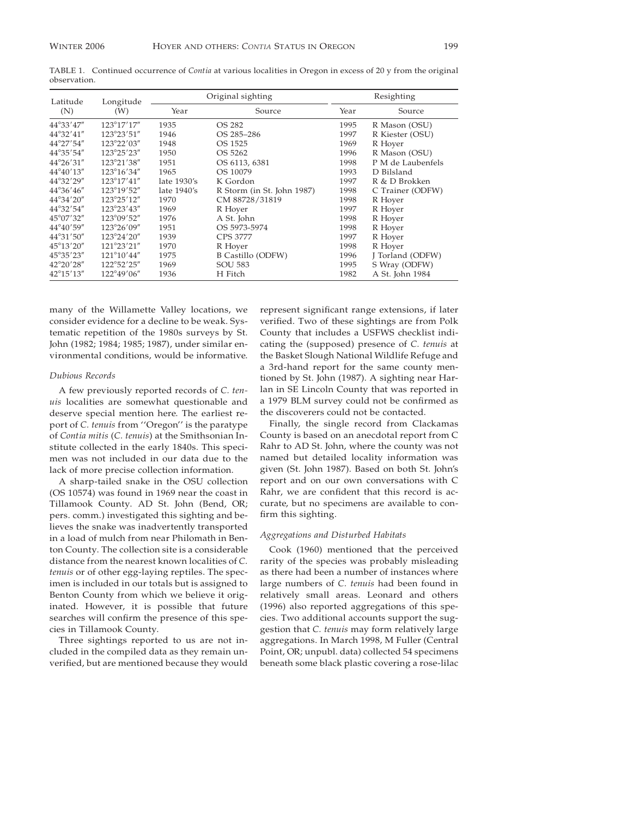| Latitude            | Longitude<br>(W)     | Original sighting |                            | Resighting |                   |
|---------------------|----------------------|-------------------|----------------------------|------------|-------------------|
| (N)                 |                      | Year              | Source                     | Year       | Source            |
| 44°33'47"           | 123°17'17"           | 1935              | OS 282                     | 1995       | R Mason (OSU)     |
| 44°32'41"           | 123°23'51"           | 1946              | OS 285-286                 | 1997       | R Kiester (OSU)   |
| $44^{\circ}27'54''$ | 123°22'03"           | 1948              | OS 1525                    | 1969       | R Hoyer           |
| 44°35'54"           | 123°25'23"           | 1950              | OS 5262                    | 1996       | R Mason (OSU)     |
| $44^{\circ}26'31''$ | 123°21'38"           | 1951              | OS 6113, 6381              | 1998       | P M de Laubenfels |
| 44°40'13"           | 123°16'34"           | 1965              | OS 10079                   | 1993       | D Bilsland        |
| 44°32'29"           | $123^{\circ}17'41''$ | late 1930's       | K Gordon                   | 1997       | R & D Brokken     |
| $44^{\circ}36'46''$ | 123°19'52"           | late 1940's       | R Storm (in St. John 1987) | 1998       | C Trainer (ODFW)  |
| $44^{\circ}34'20''$ | $123^{\circ}25'12''$ | 1970              | CM 88728/31819             | 1998       | R Hoyer           |
| 44°32'54"           | 123°23'43"           | 1969              | R Hoyer                    | 1997       | R Hoyer           |
| 45°07'32"           | 123°09'52"           | 1976              | A St. John                 | 1998       | R Hoyer           |
| 44°40'59"           | 123°26'09"           | 1951              | OS 5973-5974               | 1998       | R Hoyer           |
| 44°31'50"           | $123^{\circ}24'20''$ | 1939              | <b>CPS 3777</b>            | 1997       | R Hoyer           |
| $45^{\circ}13'20''$ | 121°23'21"           | 1970              | R Hoyer                    | 1998       | R Hoyer           |
| 45°35'23"           | $121^{\circ}10'44''$ | 1975              | B Castillo (ODFW)          | 1996       | J Torland (ODFW)  |
| 42°20'28"           | 122°52'25"           | 1969              | <b>SOU 583</b>             | 1995       | S Wray (ODFW)     |
| $42^{\circ}15'13''$ | 122°49'06"           | 1936              | H Fitch                    | 1982       | A St. John 1984   |

TABLE 1. Continued occurrence of *Contia* at various localities in Oregon in excess of 20 y from the original observation.

many of the Willamette Valley locations, we consider evidence for a decline to be weak. Systematic repetition of the 1980s surveys by St. John (1982; 1984; 1985; 1987), under similar environmental conditions, would be informative.

#### *Dubious Records*

A few previously reported records of *C. tenuis* localities are somewhat questionable and deserve special mention here. The earliest report of *C. tenuis* from ''Oregon'' is the paratype of *Contia mitis* (*C. tenuis*) at the Smithsonian Institute collected in the early 1840s. This specimen was not included in our data due to the lack of more precise collection information.

A sharp-tailed snake in the OSU collection (OS 10574) was found in 1969 near the coast in Tillamook County. AD St. John (Bend, OR; pers. comm.) investigated this sighting and believes the snake was inadvertently transported in a load of mulch from near Philomath in Benton County. The collection site is a considerable distance from the nearest known localities of *C. tenuis* or of other egg-laying reptiles. The specimen is included in our totals but is assigned to Benton County from which we believe it originated. However, it is possible that future searches will confirm the presence of this species in Tillamook County.

Three sightings reported to us are not included in the compiled data as they remain unverified, but are mentioned because they would

represent significant range extensions, if later verified. Two of these sightings are from Polk County that includes a USFWS checklist indicating the (supposed) presence of *C. tenuis* at the Basket Slough National Wildlife Refuge and a 3rd-hand report for the same county mentioned by St. John (1987). A sighting near Harlan in SE Lincoln County that was reported in a 1979 BLM survey could not be confirmed as the discoverers could not be contacted.

Finally, the single record from Clackamas County is based on an anecdotal report from C Rahr to AD St. John, where the county was not named but detailed locality information was given (St. John 1987). Based on both St. John's report and on our own conversations with C Rahr, we are confident that this record is accurate, but no specimens are available to confirm this sighting.

### *Aggregations and Disturbed Habitats*

Cook (1960) mentioned that the perceived rarity of the species was probably misleading as there had been a number of instances where large numbers of *C. tenuis* had been found in relatively small areas. Leonard and others (1996) also reported aggregations of this species. Two additional accounts support the suggestion that *C. tenuis* may form relatively large aggregations. In March 1998, M Fuller (Central Point, OR; unpubl. data) collected 54 specimens beneath some black plastic covering a rose-lilac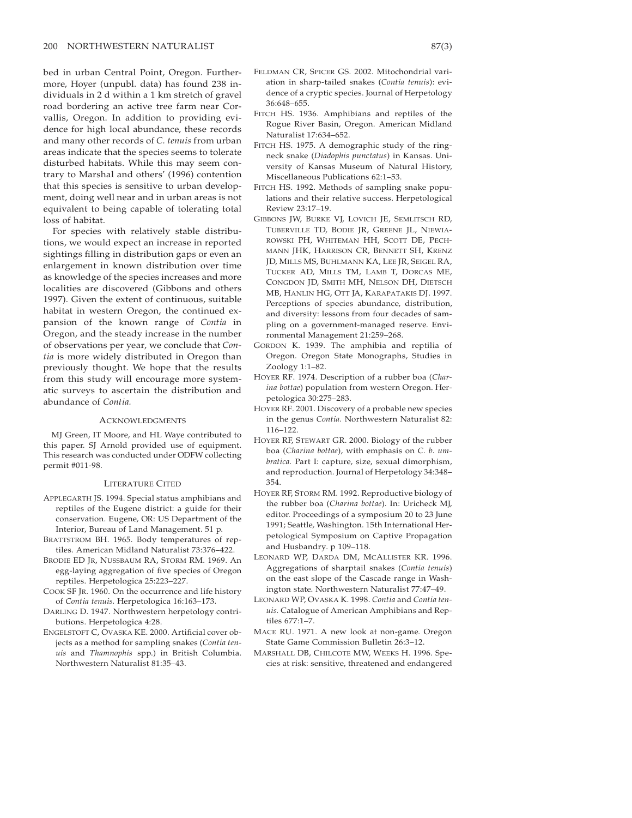bed in urban Central Point, Oregon. Furthermore, Hoyer (unpubl. data) has found 238 individuals in 2 d within a 1 km stretch of gravel road bordering an active tree farm near Corvallis, Oregon. In addition to providing evidence for high local abundance, these records and many other records of *C. tenuis* from urban areas indicate that the species seems to tolerate disturbed habitats. While this may seem contrary to Marshal and others' (1996) contention that this species is sensitive to urban development, doing well near and in urban areas is not equivalent to being capable of tolerating total loss of habitat.

For species with relatively stable distributions, we would expect an increase in reported sightings filling in distribution gaps or even an enlargement in known distribution over time as knowledge of the species increases and more localities are discovered (Gibbons and others 1997). Given the extent of continuous, suitable habitat in western Oregon, the continued expansion of the known range of *Contia* in Oregon, and the steady increase in the number of observations per year, we conclude that *Contia* is more widely distributed in Oregon than previously thought. We hope that the results from this study will encourage more systematic surveys to ascertain the distribution and abundance of *Contia.*

#### ACKNOWLEDGMENTS

MJ Green, IT Moore, and HL Waye contributed to this paper. SJ Arnold provided use of equipment. This research was conducted under ODFW collecting permit #011-98.

#### LITERATURE CITED

- APPLEGARTH JS. 1994. Special status amphibians and reptiles of the Eugene district: a guide for their conservation. Eugene, OR: US Department of the Interior, Bureau of Land Management. 51 p.
- BRATTSTROM BH. 1965. Body temperatures of reptiles. American Midland Naturalist 73:376–422.
- BRODIE ED JR, NUSSBAUM RA, STORM RM. 1969. An egg-laying aggregation of five species of Oregon reptiles. Herpetologica 25:223–227.
- COOK SF JR. 1960. On the occurrence and life history of *Contia tenuis.* Herpetologica 16:163–173.
- DARLING D. 1947. Northwestern herpetology contributions. Herpetologica 4:28.
- ENGELSTOFT C, OVASKA KE. 2000. Artificial cover objects as a method for sampling snakes (*Contia tenuis* and *Thamnophis* spp.) in British Columbia. Northwestern Naturalist 81:35–43.
- FELDMAN CR, SPICER GS. 2002. Mitochondrial variation in sharp-tailed snakes (*Contia tenuis*): evidence of a cryptic species. Journal of Herpetology 36:648–655.
- FITCH HS. 1936. Amphibians and reptiles of the Rogue River Basin, Oregon. American Midland Naturalist 17:634–652.
- FITCH HS. 1975. A demographic study of the ringneck snake (*Diadophis punctatus*) in Kansas. University of Kansas Museum of Natural History, Miscellaneous Publications 62:1–53.
- FITCH HS. 1992. Methods of sampling snake populations and their relative success. Herpetological Review 23:17–19.
- GIBBONS JW, BURKE VJ, LOVICH JE, SEMLITSCH RD, TUBERVILLE TD, BODIE JR, GREENE JL, NIEWIA-ROWSKI PH, WHITEMAN HH, SCOTT DE, PECH-MANN JHK, HARRISON CR, BENNETT SH, KRENZ JD, MILLS MS, BUHLMANN KA, LEE JR, SEIGEL RA, TUCKER AD, MILLS TM, LAMB T, DORCAS ME, CONGDON JD, SMITH MH, NELSON DH, DIETSCH MB, HANLIN HG, OTT JA, KARAPATAKIS DJ. 1997. Perceptions of species abundance, distribution, and diversity: lessons from four decades of sampling on a government-managed reserve. Environmental Management 21:259–268.
- GORDON K. 1939. The amphibia and reptilia of Oregon. Oregon State Monographs, Studies in Zoology 1:1–82.
- HOYER RF. 1974. Description of a rubber boa (*Charina bottae*) population from western Oregon. Herpetologica 30:275–283.
- HOYER RF. 2001. Discovery of a probable new species in the genus *Contia.* Northwestern Naturalist 82: 116–122.
- HOYER RF, STEWART GR. 2000. Biology of the rubber boa (*Charina bottae*), with emphasis on *C. b. umbratica.* Part I: capture, size, sexual dimorphism, and reproduction. Journal of Herpetology 34:348– 354.
- HOYER RF, STORM RM. 1992. Reproductive biology of the rubber boa (*Charina bottae*). In: Uricheck MJ, editor. Proceedings of a symposium 20 to 23 June 1991; Seattle, Washington. 15th International Herpetological Symposium on Captive Propagation and Husbandry. p 109–118.
- LEONARD WP, DARDA DM, MCALLISTER KR. 1996. Aggregations of sharptail snakes (*Contia tenuis*) on the east slope of the Cascade range in Washington state. Northwestern Naturalist 77:47–49.
- LEONARD WP, OVASKA K. 1998. *Contia* and *Contia tenuis.* Catalogue of American Amphibians and Reptiles 677:1–7.
- MACE RU. 1971. A new look at non-game. Oregon State Game Commission Bulletin 26:3–12.
- MARSHALL DB, CHILCOTE MW, WEEKS H. 1996. Species at risk: sensitive, threatened and endangered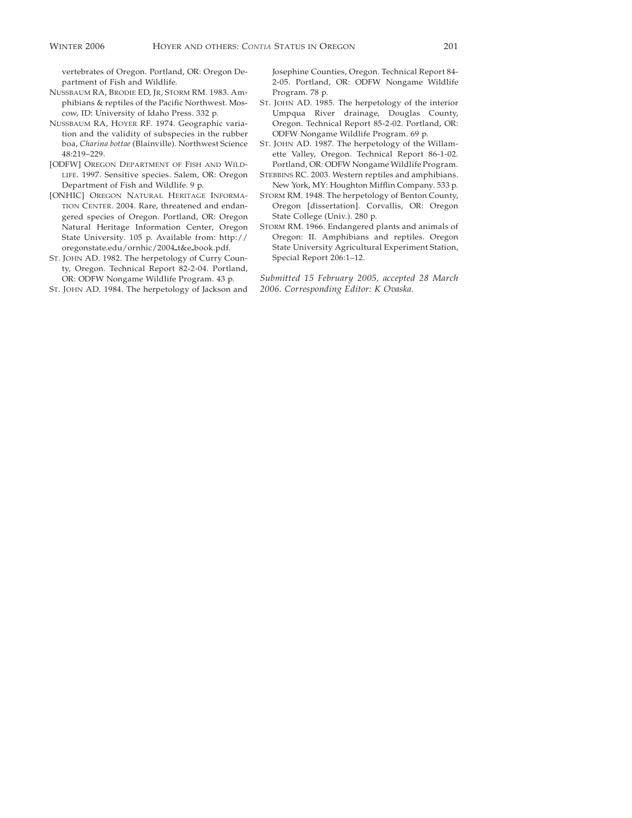vertebrates of Oregon. Portland, OR: Oregon Department of Fish and Wildlife.

- NUSSBAUM RA, BRODIE ED, JR, STORM RM. 1983. Amphibians & reptiles of the Pacific Northwest. Moscow, ID: University of Idaho Press. 332 p.
- NUSSBAUM RA, HOYER RF. 1974. Geographic variation and the validity of subspecies in the rubber boa, *Charina bottae* (Blainville). Northwest Science 48:219–229.
- [ODFW] OREGON DEPARTMENT OF FISH AND WILD-LIFE. 1997. Sensitive species. Salem, OR: Oregon Department of Fish and Wildlife. 9 p.
- [ONHIC] OREGON NATURAL HERITAGE INFORMA-TION CENTER. 2004. Rare, threatened and endangered species of Oregon. Portland, OR: Oregon Natural Heritage Information Center, Oregon State University. 105 p. Available from: http:// oregonstate.edu/ornhic/2004\_t&e\_book.pdf.
- ST. JOHN AD. 1982. The herpetology of Curry County, Oregon. Technical Report 82-2-04. Portland, OR: ODFW Nongame Wildlife Program. 43 p.
- ST. JOHN AD. 1984. The herpetology of Jackson and

Josephine Counties, Oregon. Technical Report 84- 2-05. Portland, OR: ODFW Nongame Wildlife Program. 78 p.

- ST. JOHN AD. 1985. The herpetology of the interior Umpqua River drainage, Douglas County, Oregon. Technical Report 85-2-02. Portland, OR: ODFW Nongame Wildlife Program. 69 p.
- ST. JOHN AD. 1987. The herpetology of the Willamette Valley, Oregon. Technical Report 86-1-02. Portland, OR: ODFW Nongame Wildlife Program.
- STEBBINS RC. 2003. Western reptiles and amphibians. New York, MY: Houghton Mifflin Company. 533 p.
- STORM RM. 1948. The herpetology of Benton County, Oregon [dissertation]. Corvallis, OR: Oregon State College (Univ.). 280 p.
- STORM RM. 1966. Endangered plants and animals of Oregon: II. Amphibians and reptiles. Oregon State University Agricultural Experiment Station, Special Report 206:1–12.

*Submitted 15 February 2005, accepted 28 March 2006. Corresponding Editor: K Ovaska.*